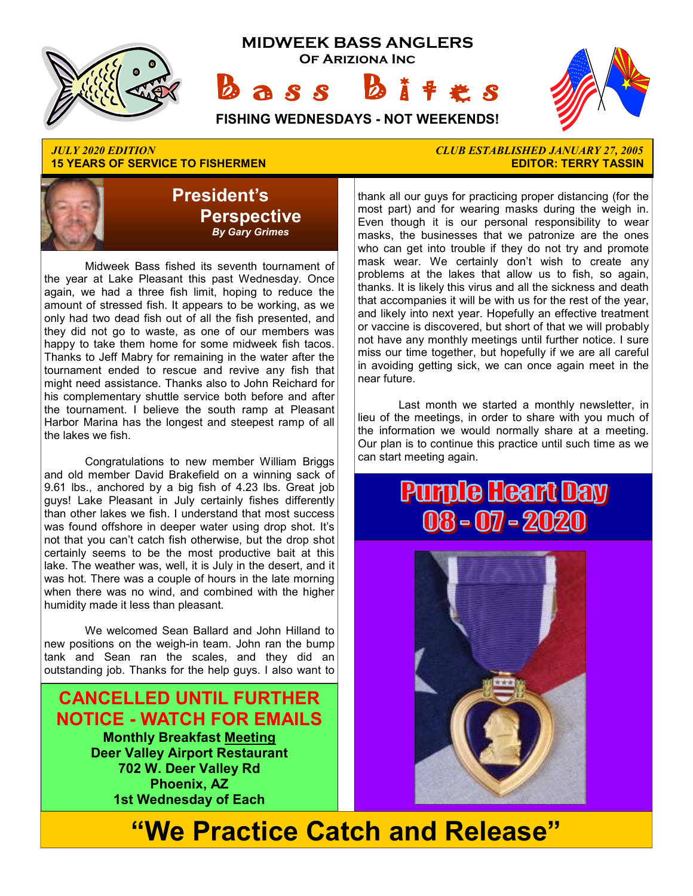

## **15 YEARS OF SERVICE TO FISHERMEN**



 Midweek Bass fished its seventh tournament of the year at Lake Pleasant this past Wednesday. Once again, we had a three fish limit, hoping to reduce the amount of stressed fish. It appears to be working, as we only had two dead fish out of all the fish presented, and they did not go to waste, as one of our members was happy to take them home for some midweek fish tacos. Thanks to Jeff Mabry for remaining in the water after the tournament ended to rescue and revive any fish that might need assistance. Thanks also to John Reichard for his complementary shuttle service both before and after the tournament. I believe the south ramp at Pleasant Harbor Marina has the longest and steepest ramp of all the lakes we fish.

 Congratulations to new member William Briggs and old member David Brakefield on a winning sack of 9.61 lbs., anchored by a big fish of 4.23 lbs. Great job guys! Lake Pleasant in July certainly fishes differently than other lakes we fish. I understand that most success was found offshore in deeper water using drop shot. It's not that you can't catch fish otherwise, but the drop shot certainly seems to be the most productive bait at this lake. The weather was, well, it is July in the desert, and it was hot. There was a couple of hours in the late morning when there was no wind, and combined with the higher humidity made it less than pleasant.

 We welcomed Sean Ballard and John Hilland to new positions on the weigh-in team. John ran the bump tank and Sean ran the scales, and they did an outstanding job. Thanks for the help guys. I also want to

**CANCELLED UNTIL FURTHER NOTICE - WATCH FOR EMAILS Monthly Breakfast Meeting Deer Valley Airport Restaurant 702 W. Deer Valley Rd Phoenix, AZ 1st Wednesday of Each** 

# *JULY 2020 EDITION CLUB ESTABLISHED JANUARY 27, 2005*

thank all our guys for practicing proper distancing (for the most part) and for wearing masks during the weigh in. Even though it is our personal responsibility to wear masks, the businesses that we patronize are the ones who can get into trouble if they do not try and promote mask wear. We certainly don't wish to create any problems at the lakes that allow us to fish, so again, thanks. It is likely this virus and all the sickness and death that accompanies it will be with us for the rest of the year, and likely into next year. Hopefully an effective treatment or vaccine is discovered, but short of that we will probably not have any monthly meetings until further notice. I sure miss our time together, but hopefully if we are all careful in avoiding getting sick, we can once again meet in the near future.

 Last month we started a monthly newsletter, in lieu of the meetings, in order to share with you much of the information we would normally share at a meeting. Our plan is to continue this practice until such time as we can start meeting again.

# **Purple Heart Day**  $08 - 07 - 2020$



# **"We Practice Catch and Release"**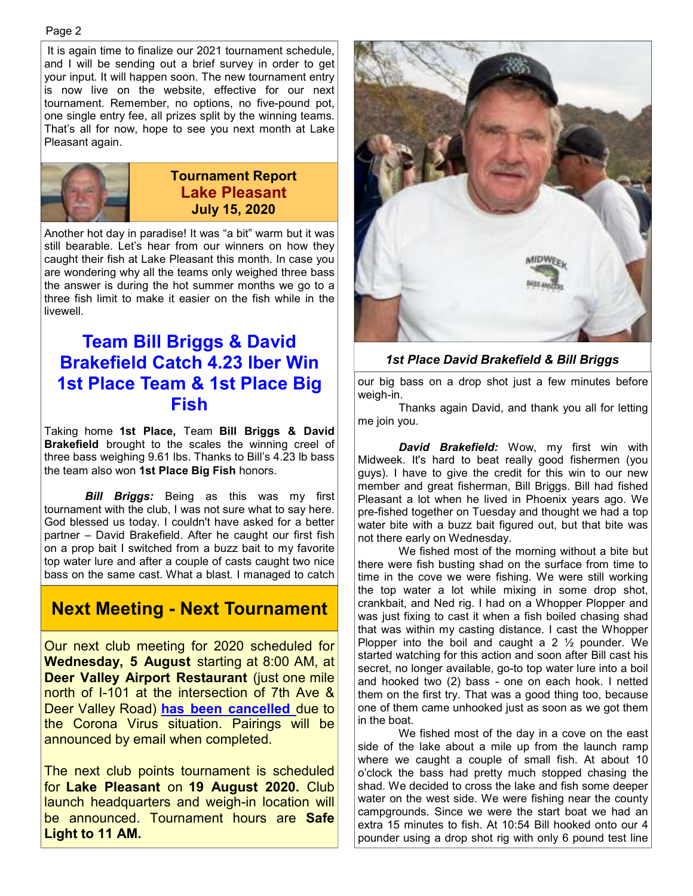It is again time to finalize our 2021 tournament schedule, and I will be sending out a brief survey in order to get your input. It will happen soon. The new tournament entry is now live on the website, effective for our next tournament. Remember, no options, no five-pound pot, one single entry fee, all prizes split by the winning teams. That's all for now, hope to see you next month at Lake Pleasant again.



Another hot day in paradise! It was "a bit" warm but it was still bearable. Let's hear from our winners on how they caught their fish at Lake Pleasant this month. In case you are wondering why all the teams only weighed three bass the answer is during the hot summer months we go to a three fish limit to make it easier on the fish while in the livewell.

#### **Team Bill Briggs & David Brakefield Catch 4.23 lber Win 1st Place Team & 1st Place Big Fish**

Taking home **1st Place,** Team **Bill Briggs & David Brakefield** brought to the scales the winning creel of three bass weighing 9.61 lbs. Thanks to Bill's 4.23 lb bass the team also won **1st Place Big Fish** honors.

*Bill Briggs:* Being as this was my first tournament with the club, I was not sure what to say here. God blessed us today. I couldn't have asked for a better partner – David Brakefield. After he caught our first fish on a prop bait I switched from a buzz bait to my favorite top water lure and after a couple of casts caught two nice bass on the same cast. What a blast. I managed to catch

## **Next Meeting - Next Tournament**

Our next club meeting for 2020 scheduled for **Wednesday, 5 August** starting at 8:00 AM, at **Deer Valley Airport Restaurant** (just one mile north of I-101 at the intersection of 7th Ave & Deer Valley Road) **has been cancelled** due to the Corona Virus situation. Pairings will be announced by email when completed.

The next club points tournament is scheduled for **Lake Pleasant** on **19 August 2020.** Club launch headquarters and weigh-in location will be announced. Tournament hours are **Safe Light to 11 AM.** 



#### *1st Place David Brakefield & Bill Briggs*

our big bass on a drop shot just a few minutes before weigh-in.

 Thanks again David, and thank you all for letting me join you.

 *David Brakefield:* Wow, my first win with Midweek. It's hard to beat really good fishermen (you guys). I have to give the credit for this win to our new member and great fisherman, Bill Briggs. Bill had fished Pleasant a lot when he lived in Phoenix years ago. We pre-fished together on Tuesday and thought we had a top water bite with a buzz bait figured out, but that bite was not there early on Wednesday.

 We fished most of the morning without a bite but there were fish busting shad on the surface from time to time in the cove we were fishing. We were still working the top water a lot while mixing in some drop shot, crankbait, and Ned rig. I had on a Whopper Plopper and was just fixing to cast it when a fish boiled chasing shad that was within my casting distance. I cast the Whopper Plopper into the boil and caught a 2  $\frac{1}{2}$  pounder. We started watching for this action and soon after Bill cast his secret, no longer available, go-to top water lure into a boil and hooked two (2) bass - one on each hook. I netted them on the first try. That was a good thing too, because one of them came unhooked just as soon as we got them in the boat.

 We fished most of the day in a cove on the east side of the lake about a mile up from the launch ramp where we caught a couple of small fish. At about 10 o'clock the bass had pretty much stopped chasing the shad. We decided to cross the lake and fish some deeper water on the west side. We were fishing near the county campgrounds. Since we were the start boat we had an extra 15 minutes to fish. At 10:54 Bill hooked onto our 4 pounder using a drop shot rig with only 6 pound test line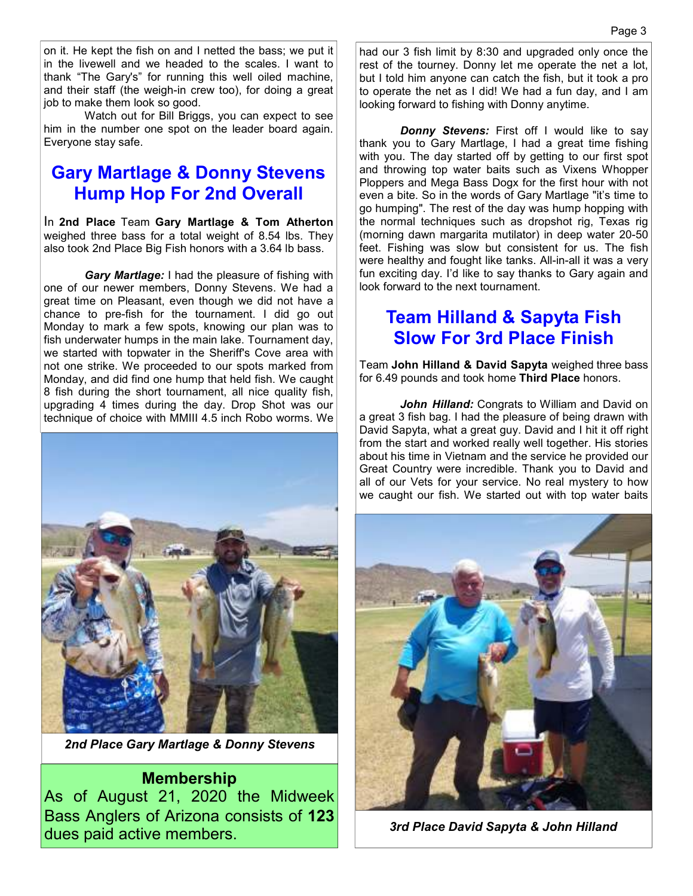on it. He kept the fish on and I netted the bass; we put it in the livewell and we headed to the scales. I want to thank "The Gary's" for running this well oiled machine, and their staff (the weigh-in crew too), for doing a great job to make them look so good.

 Watch out for Bill Briggs, you can expect to see him in the number one spot on the leader board again. Everyone stay safe.

#### **Gary Martlage & Donny Stevens Hump Hop For 2nd Overall**

In **2nd Place** Team **Gary Martlage & Tom Atherton**  weighed three bass for a total weight of 8.54 lbs. They also took 2nd Place Big Fish honors with a 3.64 lb bass.

 *Gary Martlage:* I had the pleasure of fishing with one of our newer members, Donny Stevens. We had a great time on Pleasant, even though we did not have a chance to pre-fish for the tournament. I did go out Monday to mark a few spots, knowing our plan was to fish underwater humps in the main lake. Tournament day, we started with topwater in the Sheriff's Cove area with not one strike. We proceeded to our spots marked from Monday, and did find one hump that held fish. We caught 8 fish during the short tournament, all nice quality fish, upgrading 4 times during the day. Drop Shot was our technique of choice with MMIII 4.5 inch Robo worms. We



*2nd Place Gary Martlage & Donny Stevens*

#### **Membership**

As of August 21, 2020 the Midweek Bass Anglers of Arizona consists of **123**  dues paid active members.

had our 3 fish limit by 8:30 and upgraded only once the rest of the tourney. Donny let me operate the net a lot, but I told him anyone can catch the fish, but it took a pro to operate the net as I did! We had a fun day, and I am looking forward to fishing with Donny anytime.

*Donny Stevens:* First off I would like to say thank you to Gary Martlage, I had a great time fishing with you. The day started off by getting to our first spot and throwing top water baits such as Vixens Whopper Ploppers and Mega Bass Dogx for the first hour with not even a bite. So in the words of Gary Martlage "it's time to go humping". The rest of the day was hump hopping with the normal techniques such as dropshot rig, Texas rig (morning dawn margarita mutilator) in deep water 20-50 feet. Fishing was slow but consistent for us. The fish were healthy and fought like tanks. All-in-all it was a very fun exciting day. I'd like to say thanks to Gary again and look forward to the next tournament.

#### **Team Hilland & Sapyta Fish Slow For 3rd Place Finish**

Team **John Hilland & David Sapyta** weighed three bass for 6.49 pounds and took home **Third Place** honors.

*John Hilland:* Congrats to William and David on a great 3 fish bag. I had the pleasure of being drawn with David Sapyta, what a great guy. David and I hit it off right from the start and worked really well together. His stories about his time in Vietnam and the service he provided our Great Country were incredible. Thank you to David and all of our Vets for your service. No real mystery to how we caught our fish. We started out with top water baits



*3rd Place David Sapyta & John Hilland*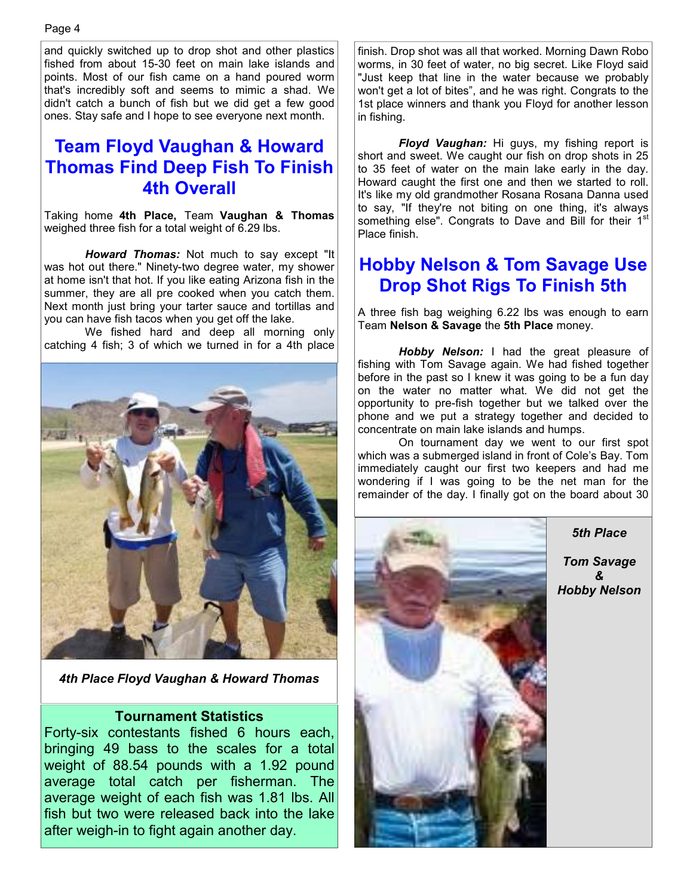and quickly switched up to drop shot and other plastics fished from about 15-30 feet on main lake islands and points. Most of our fish came on a hand poured worm that's incredibly soft and seems to mimic a shad. We didn't catch a bunch of fish but we did get a few good ones. Stay safe and I hope to see everyone next month.

#### **Team Floyd Vaughan & Howard Thomas Find Deep Fish To Finish 4th Overall**

Taking home **4th Place,** Team **Vaughan & Thomas**  weighed three fish for a total weight of 6.29 lbs.

*Howard Thomas:* Not much to say except "It was hot out there." Ninety-two degree water, my shower at home isn't that hot. If you like eating Arizona fish in the summer, they are all pre cooked when you catch them. Next month just bring your tarter sauce and tortillas and you can have fish tacos when you get off the lake.

 We fished hard and deep all morning only catching 4 fish; 3 of which we turned in for a 4th place



*4th Place Floyd Vaughan & Howard Thomas* 

#### **Tournament Statistics**

Forty-six contestants fished 6 hours each, bringing 49 bass to the scales for a total weight of 88.54 pounds with a 1.92 pound average total catch per fisherman. The average weight of each fish was 1.81 lbs. All fish but two were released back into the lake after weigh-in to fight again another day.

finish. Drop shot was all that worked. Morning Dawn Robo worms, in 30 feet of water, no big secret. Like Floyd said "Just keep that line in the water because we probably won't get a lot of bites", and he was right. Congrats to the 1st place winners and thank you Floyd for another lesson in fishing.

 *Floyd Vaughan:* Hi guys, my fishing report is short and sweet. We caught our fish on drop shots in 25 to 35 feet of water on the main lake early in the day. Howard caught the first one and then we started to roll. It's like my old grandmother Rosana Rosana Danna used to say, "If they're not biting on one thing, it's always something else". Congrats to Dave and Bill for their 1st Place finish.

## **Hobby Nelson & Tom Savage Use Drop Shot Rigs To Finish 5th**

A three fish bag weighing 6.22 lbs was enough to earn Team **Nelson & Savage** the **5th Place** money.

 *Hobby Nelson:* I had the great pleasure of fishing with Tom Savage again. We had fished together before in the past so I knew it was going to be a fun day on the water no matter what. We did not get the opportunity to pre-fish together but we talked over the phone and we put a strategy together and decided to concentrate on main lake islands and humps.

 On tournament day we went to our first spot which was a submerged island in front of Cole's Bay. Tom immediately caught our first two keepers and had me wondering if I was going to be the net man for the remainder of the day. I finally got on the board about 30



*5th Place* 

*Tom Savage & Hobby Nelson*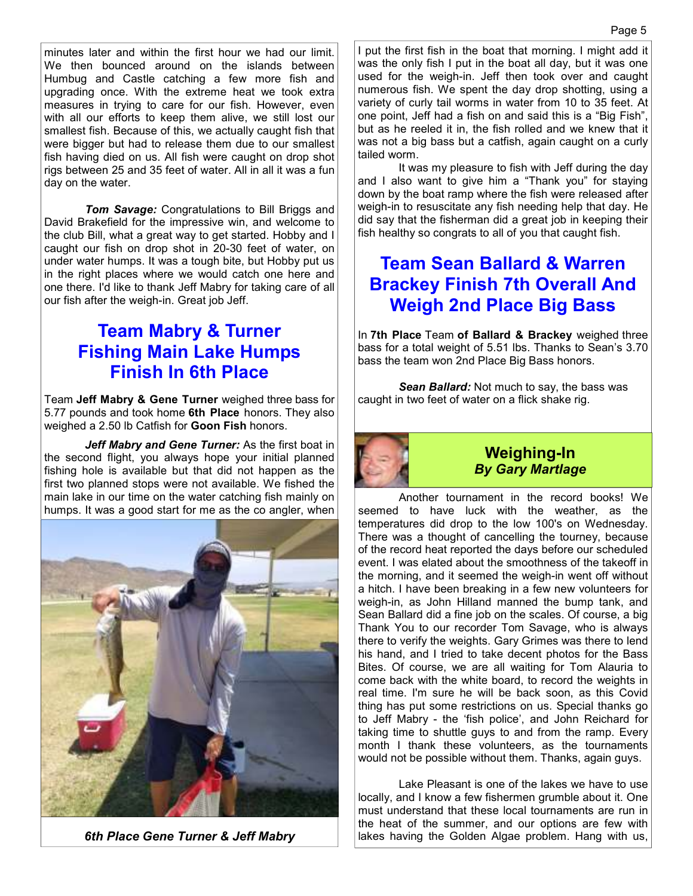minutes later and within the first hour we had our limit. We then bounced around on the islands between Humbug and Castle catching a few more fish and upgrading once. With the extreme heat we took extra measures in trying to care for our fish. However, even with all our efforts to keep them alive, we still lost our smallest fish. Because of this, we actually caught fish that were bigger but had to release them due to our smallest fish having died on us. All fish were caught on drop shot rigs between 25 and 35 feet of water. All in all it was a fun day on the water.

 *Tom Savage:* Congratulations to Bill Briggs and David Brakefield for the impressive win, and welcome to the club Bill, what a great way to get started. Hobby and I caught our fish on drop shot in 20-30 feet of water, on under water humps. It was a tough bite, but Hobby put us in the right places where we would catch one here and one there. I'd like to thank Jeff Mabry for taking care of all our fish after the weigh-in. Great job Jeff.

#### **Team Mabry & Turner Fishing Main Lake Humps Finish In 6th Place**

Team **Jeff Mabry & Gene Turner** weighed three bass for 5.77 pounds and took home **6th Place** honors. They also weighed a 2.50 lb Catfish for **Goon Fish** honors.

 *Jeff Mabry and Gene Turner:* As the first boat in the second flight, you always hope your initial planned fishing hole is available but that did not happen as the first two planned stops were not available. We fished the main lake in our time on the water catching fish mainly on humps. It was a good start for me as the co angler, when



*6th Place Gene Turner & Jeff Mabry* 

I put the first fish in the boat that morning. I might add it was the only fish I put in the boat all day, but it was one used for the weigh-in. Jeff then took over and caught numerous fish. We spent the day drop shotting, using a variety of curly tail worms in water from 10 to 35 feet. At one point, Jeff had a fish on and said this is a "Big Fish", but as he reeled it in, the fish rolled and we knew that it was not a big bass but a catfish, again caught on a curly tailed worm.

 It was my pleasure to fish with Jeff during the day and I also want to give him a "Thank you" for staying down by the boat ramp where the fish were released after weigh-in to resuscitate any fish needing help that day. He did say that the fisherman did a great job in keeping their fish healthy so congrats to all of you that caught fish.

## **Team Sean Ballard & Warren Brackey Finish 7th Overall And Weigh 2nd Place Big Bass**

In **7th Place** Team **of Ballard & Brackey** weighed three bass for a total weight of 5.51 lbs. Thanks to Sean's 3.70 bass the team won 2nd Place Big Bass honors.

 *Sean Ballard:* Not much to say, the bass was caught in two feet of water on a flick shake rig.



#### **Weighing-In**  *By Gary Martlage*

 Another tournament in the record books! We seemed to have luck with the weather, as the temperatures did drop to the low 100's on Wednesday. There was a thought of cancelling the tourney, because of the record heat reported the days before our scheduled event. I was elated about the smoothness of the takeoff in the morning, and it seemed the weigh-in went off without a hitch. I have been breaking in a few new volunteers for weigh-in, as John Hilland manned the bump tank, and Sean Ballard did a fine job on the scales. Of course, a big Thank You to our recorder Tom Savage, who is always there to verify the weights. Gary Grimes was there to lend his hand, and I tried to take decent photos for the Bass Bites. Of course, we are all waiting for Tom Alauria to come back with the white board, to record the weights in real time. I'm sure he will be back soon, as this Covid thing has put some restrictions on us. Special thanks go to Jeff Mabry - the 'fish police', and John Reichard for taking time to shuttle guys to and from the ramp. Every month I thank these volunteers, as the tournaments would not be possible without them. Thanks, again guys.

 Lake Pleasant is one of the lakes we have to use locally, and I know a few fishermen grumble about it. One must understand that these local tournaments are run in the heat of the summer, and our options are few with lakes having the Golden Algae problem. Hang with us,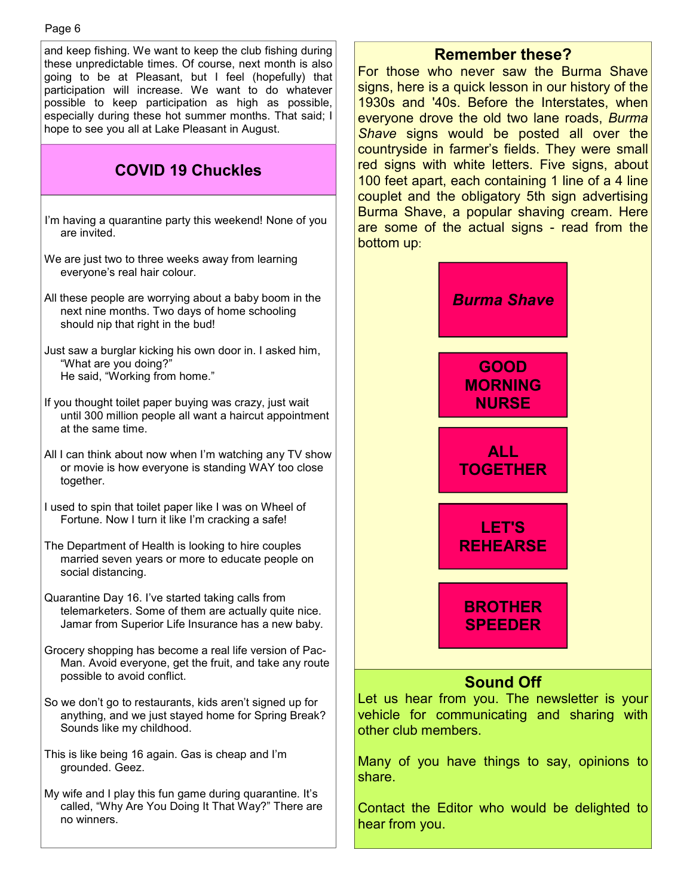and keep fishing. We want to keep the club fishing during these unpredictable times. Of course, next month is also going to be at Pleasant, but I feel (hopefully) that participation will increase. We want to do whatever possible to keep participation as high as possible, especially during these hot summer months. That said; I hope to see you all at Lake Pleasant in August. I'm having a quarantine party this weekend! None of you are invited. We are just two to three weeks away from learning everyone's real hair colour. All these people are worrying about a baby boom in the next nine months. Two days of home schooling should nip that right in the bud! Just saw a burglar kicking his own door in. I asked him, "What are you doing?" He said, "Working from home." If you thought toilet paper buying was crazy, just wait until 300 million people all want a haircut appointment at the same time. All I can think about now when I'm watching any TV show or movie is how everyone is standing WAY too close together. I used to spin that toilet paper like I was on Wheel of Fortune. Now I turn it like I'm cracking a safe! The Department of Health is looking to hire couples married seven years or more to educate people on social distancing. Quarantine Day 16. I've started taking calls from **COVID 19 Chuckles**  Page 6

- telemarketers. Some of them are actually quite nice. Jamar from Superior Life Insurance has a new baby.
- Grocery shopping has become a real life version of Pac-Man. Avoid everyone, get the fruit, and take any route possible to avoid conflict.
- So we don't go to restaurants, kids aren't signed up for anything, and we just stayed home for Spring Break? Sounds like my childhood.
- This is like being 16 again. Gas is cheap and I'm grounded. Geez.
- My wife and I play this fun game during quarantine. It's called, "Why Are You Doing It That Way?" There are no winners.

#### **Remember these?**

For those who never saw the Burma Shave signs, here is a quick lesson in our history of the 1930s and '40s. Before the Interstates, when everyone drove the old two lane roads, *Burma Shave* signs would be posted all over the countryside in farmer's fields. They were small red signs with white letters. Five signs, about 100 feet apart, each containing 1 line of a 4 line couplet and the obligatory 5th sign advertising Burma Shave, a popular shaving cream. Here are some of the actual signs - read from the bottom up:



Let us hear from you. The newsletter is your vehicle for communicating and sharing with other club members.

Many of you have things to say, opinions to share.

Contact the Editor who would be delighted to hear from you.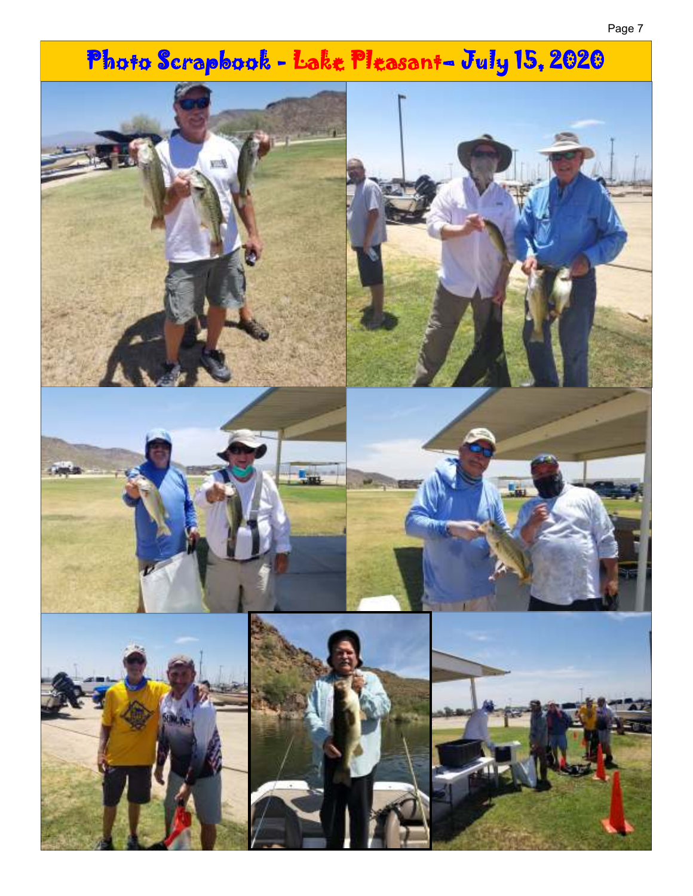# Photo Scrapbook - Lake Pleasant- July 15, 2020